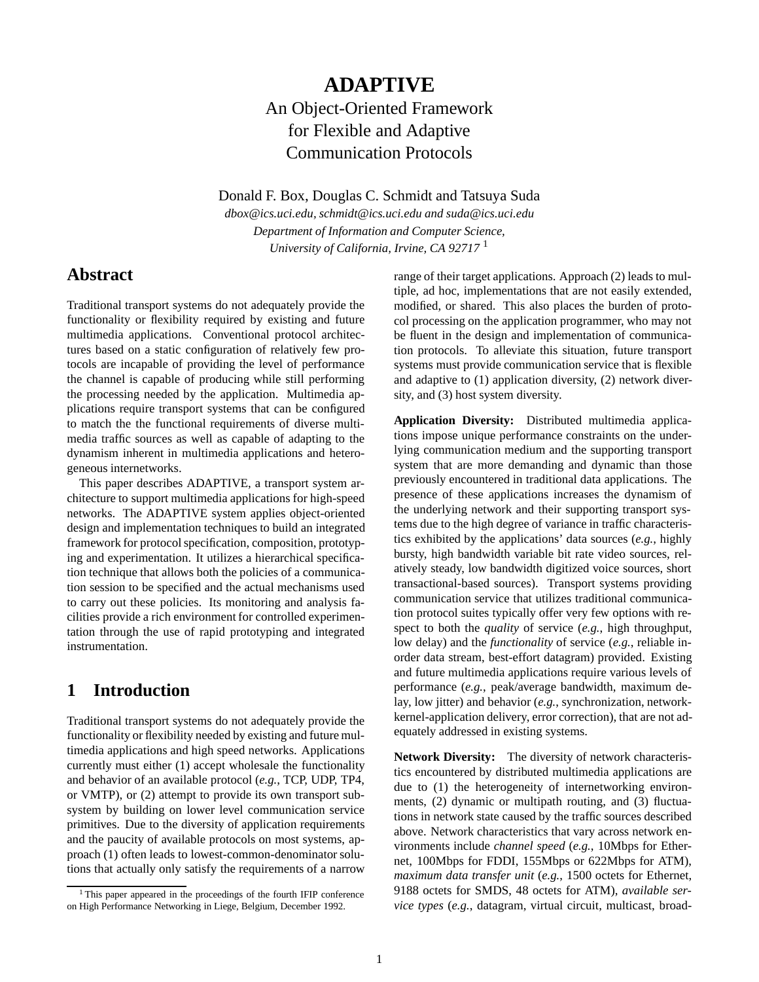# **ADAPTIVE** An Object-Oriented Framework for Flexible and Adaptive Communication Protocols

Donald F. Box, Douglas C. Schmidt and Tatsuya Suda

*dbox@ics.uci.edu, schmidt@ics.uci.edu and suda@ics.uci.edu Department of Information and Computer Science, University of California, Irvine, CA 92717* <sup>1</sup>

## **Abstract**

Traditional transport systems do not adequately provide the functionality or flexibility required by existing and future multimedia applications. Conventional protocol architectures based on a static configuration of relatively few protocols are incapable of providing the level of performance the channel is capable of producing while still performing the processing needed by the application. Multimedia applications require transport systems that can be configured to match the the functional requirements of diverse multimedia traffic sources as well as capable of adapting to the dynamism inherent in multimedia applications and heterogeneous internetworks.

This paper describes ADAPTIVE, a transport system architecture to support multimedia applications for high-speed networks. The ADAPTIVE system applies object-oriented design and implementation techniques to build an integrated framework for protocol specification, composition, prototyping and experimentation. It utilizes a hierarchical specification technique that allows both the policies of a communication session to be specified and the actual mechanisms used to carry out these policies. Its monitoring and analysis facilities provide a rich environment for controlled experimentation through the use of rapid prototyping and integrated instrumentation.

## **1 Introduction**

Traditional transport systems do not adequately provide the functionality or flexibility needed by existing and future multimedia applications and high speed networks. Applications currently must either (1) accept wholesale the functionality and behavior of an available protocol (*e.g.*, TCP, UDP, TP4, or VMTP), or (2) attempt to provide its own transport subsystem by building on lower level communication service primitives. Due to the diversity of application requirements and the paucity of available protocols on most systems, approach (1) often leads to lowest-common-denominator solutions that actually only satisfy the requirements of a narrow range of their target applications. Approach (2) leads to multiple, ad hoc, implementations that are not easily extended, modified, or shared. This also places the burden of protocol processing on the application programmer, who may not be fluent in the design and implementation of communication protocols. To alleviate this situation, future transport systems must provide communication service that is flexible and adaptive to (1) application diversity, (2) network diversity, and (3) host system diversity.

**Application Diversity:** Distributed multimedia applications impose unique performance constraints on the underlying communication medium and the supporting transport system that are more demanding and dynamic than those previously encountered in traditional data applications. The presence of these applications increases the dynamism of the underlying network and their supporting transport systems due to the high degree of variance in traffic characteristics exhibited by the applications' data sources (*e.g.*, highly bursty, high bandwidth variable bit rate video sources, relatively steady, low bandwidth digitized voice sources, short transactional-based sources). Transport systems providing communication service that utilizes traditional communication protocol suites typically offer very few options with respect to both the *quality* of service (*e.g.*, high throughput, low delay) and the *functionality* of service (*e.g.*, reliable inorder data stream, best-effort datagram) provided. Existing and future multimedia applications require various levels of performance (*e.g.*, peak/average bandwidth, maximum delay, low jitter) and behavior (*e.g.*, synchronization, networkkernel-application delivery, error correction), that are not adequately addressed in existing systems.

**Network Diversity:** The diversity of network characteristics encountered by distributed multimedia applications are due to (1) the heterogeneity of internetworking environments, (2) dynamic or multipath routing, and (3) fluctuations in network state caused by the traffic sources described above. Network characteristics that vary across network environments include *channel speed* (*e.g.*, 10Mbps for Ethernet, 100Mbps for FDDI, 155Mbps or 622Mbps for ATM), *maximum data transfer unit* (*e.g.*, 1500 octets for Ethernet, 9188 octets for SMDS, 48 octets for ATM), *available service types* (*e.g.*, datagram, virtual circuit, multicast, broad-

<sup>1</sup> This paper appeared in the proceedings of the fourth IFIP conference on High Performance Networking in Liege, Belgium, December 1992.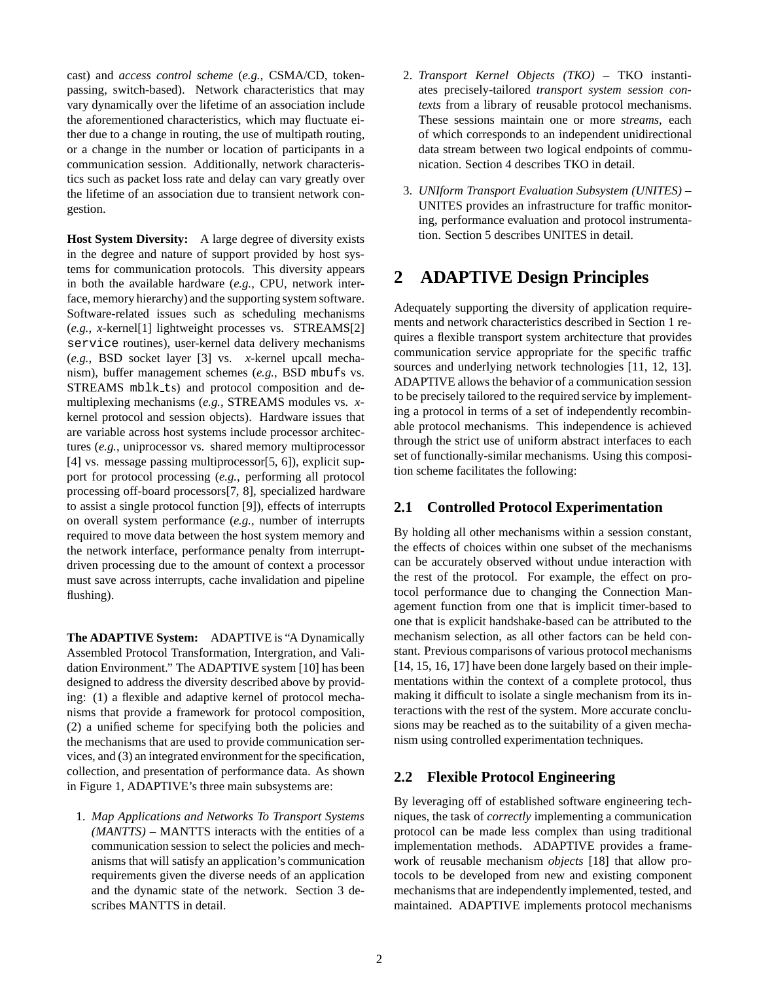cast) and *access control scheme* (*e.g.*, CSMA/CD, tokenpassing, switch-based). Network characteristics that may vary dynamically over the lifetime of an association include the aforementioned characteristics, which may fluctuate either due to a change in routing, the use of multipath routing, or a change in the number or location of participants in a communication session. Additionally, network characteristics such as packet loss rate and delay can vary greatly over the lifetime of an association due to transient network congestion.

**Host System Diversity:** A large degree of diversity exists in the degree and nature of support provided by host systems for communication protocols. This diversity appears in both the available hardware (*e.g.*, CPU, network interface, memory hierarchy) and the supporting system software. Software-related issues such as scheduling mechanisms (*e.g.*, *x*-kernel[1] lightweight processes vs. STREAMS[2] service routines), user-kernel data delivery mechanisms (*e.g.*, BSD socket layer [3] vs. *x*-kernel upcall mechanism), buffer management schemes (*e.g.*, BSD mbufs vs. STREAMS mblk\_ts) and protocol composition and demultiplexing mechanisms (*e.g.*, STREAMS modules vs. *x*kernel protocol and session objects). Hardware issues that are variable across host systems include processor architectures (*e.g.*, uniprocessor vs. shared memory multiprocessor [4] vs. message passing multiprocessor[5, 6]), explicit support for protocol processing (*e.g.*, performing all protocol processing off-board processors[7, 8], specialized hardware to assist a single protocol function [9]), effects of interrupts on overall system performance (*e.g.*, number of interrupts required to move data between the host system memory and the network interface, performance penalty from interruptdriven processing due to the amount of context a processor must save across interrupts, cache invalidation and pipeline flushing).

**The ADAPTIVE System:** ADAPTIVE is "A Dynamically Assembled Protocol Transformation, Intergration, and Validation Environment." The ADAPTIVE system [10] has been designed to address the diversity described above by providing: (1) a flexible and adaptive kernel of protocol mechanisms that provide a framework for protocol composition, (2) a unified scheme for specifying both the policies and the mechanisms that are used to provide communication services, and (3) an integrated environment for the specification, collection, and presentation of performance data. As shown in Figure 1, ADAPTIVE's three main subsystems are:

1. *Map Applications and Networks To Transport Systems (MANTTS)* – MANTTS interacts with the entities of a communication session to select the policies and mechanisms that will satisfy an application's communication requirements given the diverse needs of an application and the dynamic state of the network. Section 3 describes MANTTS in detail.

- 2. *Transport Kernel Objects (TKO)* TKO instantiates precisely-tailored *transport system session contexts* from a library of reusable protocol mechanisms. These sessions maintain one or more *streams*, each of which corresponds to an independent unidirectional data stream between two logical endpoints of communication. Section 4 describes TKO in detail.
- 3. *UNIform Transport Evaluation Subsystem (UNITES)* UNITES provides an infrastructure for traffic monitoring, performance evaluation and protocol instrumentation. Section 5 describes UNITES in detail.

# **2 ADAPTIVE Design Principles**

Adequately supporting the diversity of application requirements and network characteristics described in Section 1 requires a flexible transport system architecture that provides communication service appropriate for the specific traffic sources and underlying network technologies [11, 12, 13]. ADAPTIVE allows the behavior of a communication session to be precisely tailored to the required service by implementing a protocol in terms of a set of independently recombinable protocol mechanisms. This independence is achieved through the strict use of uniform abstract interfaces to each set of functionally-similar mechanisms. Using this composition scheme facilitates the following:

#### **2.1 Controlled Protocol Experimentation**

By holding all other mechanisms within a session constant, the effects of choices within one subset of the mechanisms can be accurately observed without undue interaction with the rest of the protocol. For example, the effect on protocol performance due to changing the Connection Management function from one that is implicit timer-based to one that is explicit handshake-based can be attributed to the mechanism selection, as all other factors can be held constant. Previous comparisons of various protocol mechanisms [14, 15, 16, 17] have been done largely based on their implementations within the context of a complete protocol, thus making it difficult to isolate a single mechanism from its interactions with the rest of the system. More accurate conclusions may be reached as to the suitability of a given mechanism using controlled experimentation techniques.

### **2.2 Flexible Protocol Engineering**

By leveraging off of established software engineering techniques, the task of *correctly* implementing a communication protocol can be made less complex than using traditional implementation methods. ADAPTIVE provides a framework of reusable mechanism *objects* [18] that allow protocols to be developed from new and existing component mechanisms that are independently implemented, tested, and maintained. ADAPTIVE implements protocol mechanisms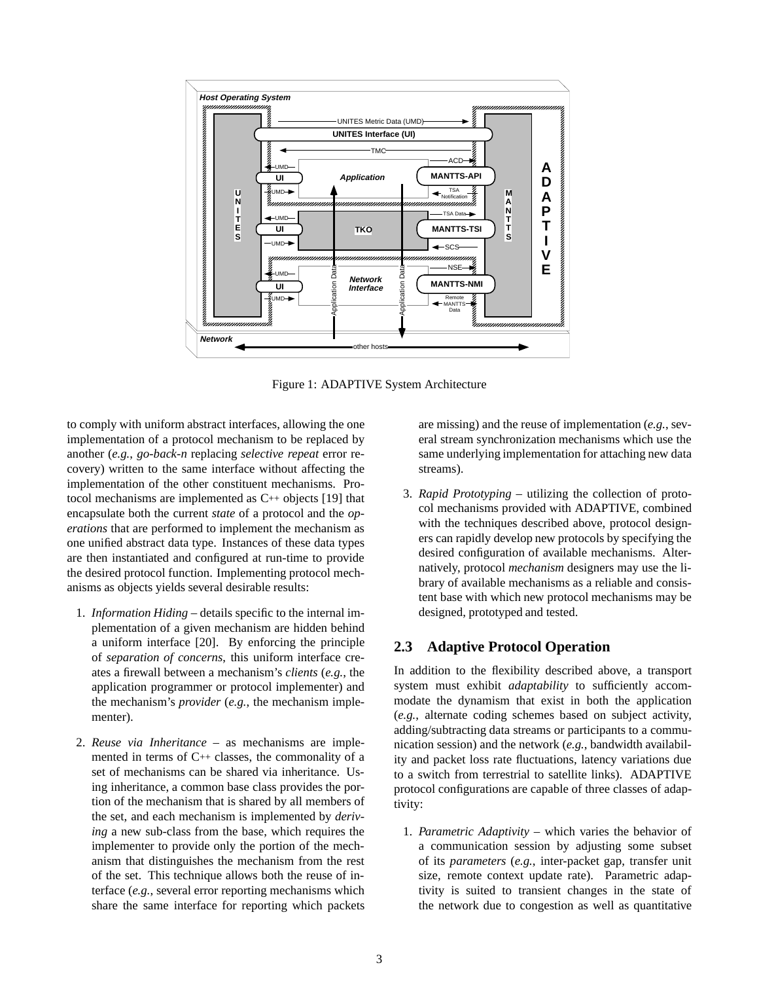

Figure 1: ADAPTIVE System Architecture

to comply with uniform abstract interfaces, allowing the one implementation of a protocol mechanism to be replaced by another (*e.g.*, *go-back-n* replacing *selective repeat* error recovery) written to the same interface without affecting the implementation of the other constituent mechanisms. Protocol mechanisms are implemented as C++ objects [19] that encapsulate both the current *state* of a protocol and the *operations* that are performed to implement the mechanism as one unified abstract data type. Instances of these data types are then instantiated and configured at run-time to provide the desired protocol function. Implementing protocol mechanisms as objects yields several desirable results:

- 1. *Information Hiding* details specific to the internal implementation of a given mechanism are hidden behind a uniform interface [20]. By enforcing the principle of *separation of concerns*, this uniform interface creates a firewall between a mechanism's *clients* (*e.g.*, the application programmer or protocol implementer) and the mechanism's *provider* (*e.g.*, the mechanism implementer).
- 2. *Reuse via Inheritance* as mechanisms are implemented in terms of  $C^{++}$  classes, the commonality of a set of mechanisms can be shared via inheritance. Using inheritance, a common base class provides the portion of the mechanism that is shared by all members of the set, and each mechanism is implemented by *deriving* a new sub-class from the base, which requires the implementer to provide only the portion of the mechanism that distinguishes the mechanism from the rest of the set. This technique allows both the reuse of interface (*e.g.*, several error reporting mechanisms which share the same interface for reporting which packets

are missing) and the reuse of implementation (*e.g.*, several stream synchronization mechanisms which use the same underlying implementation for attaching new data streams).

3. *Rapid Prototyping* – utilizing the collection of protocol mechanisms provided with ADAPTIVE, combined with the techniques described above, protocol designers can rapidly develop new protocols by specifying the desired configuration of available mechanisms. Alternatively, protocol *mechanism* designers may use the library of available mechanisms as a reliable and consistent base with which new protocol mechanisms may be designed, prototyped and tested.

#### **2.3 Adaptive Protocol Operation**

In addition to the flexibility described above, a transport system must exhibit *adaptability* to sufficiently accommodate the dynamism that exist in both the application (*e.g.*, alternate coding schemes based on subject activity, adding/subtracting data streams or participants to a communication session) and the network (*e.g.*, bandwidth availability and packet loss rate fluctuations, latency variations due to a switch from terrestrial to satellite links). ADAPTIVE protocol configurations are capable of three classes of adaptivity:

1. *Parametric Adaptivity* – which varies the behavior of a communication session by adjusting some subset of its *parameters* (*e.g.*, inter-packet gap, transfer unit size, remote context update rate). Parametric adaptivity is suited to transient changes in the state of the network due to congestion as well as quantitative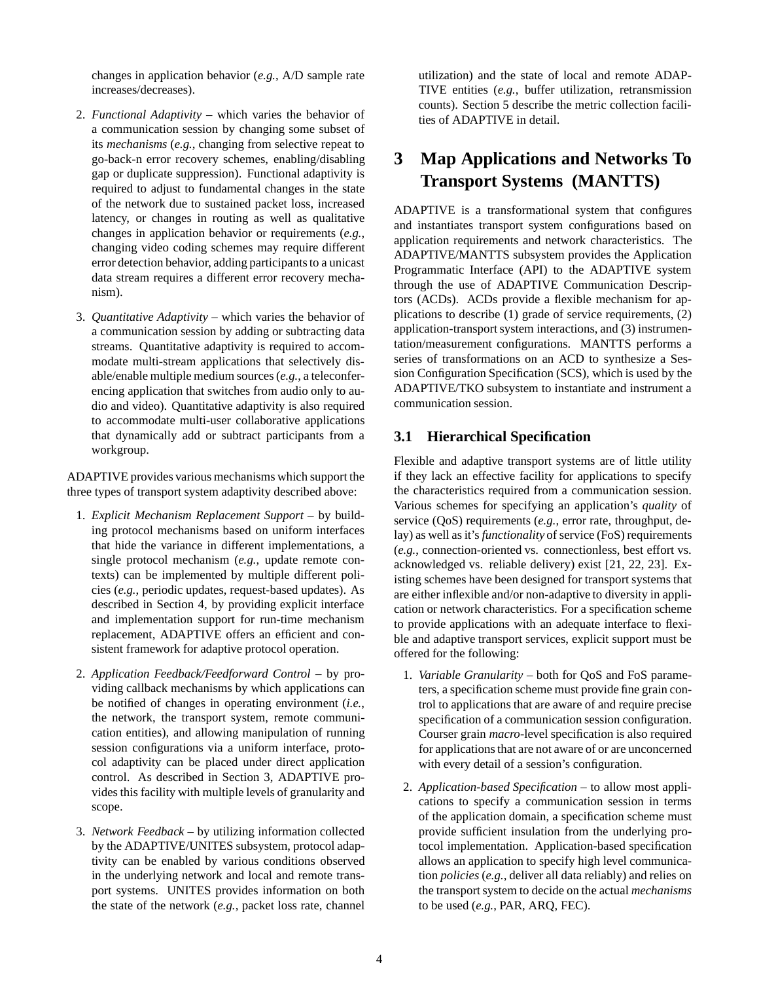changes in application behavior (*e.g.*, A/D sample rate increases/decreases).

- 2. *Functional Adaptivity* which varies the behavior of a communication session by changing some subset of its *mechanisms* (*e.g.*, changing from selective repeat to go-back-n error recovery schemes, enabling/disabling gap or duplicate suppression). Functional adaptivity is required to adjust to fundamental changes in the state of the network due to sustained packet loss, increased latency, or changes in routing as well as qualitative changes in application behavior or requirements (*e.g.*, changing video coding schemes may require different error detection behavior, adding participants to a unicast data stream requires a different error recovery mechanism).
- 3. *Quantitative Adaptivity* which varies the behavior of a communication session by adding or subtracting data streams. Quantitative adaptivity is required to accommodate multi-stream applications that selectively disable/enable multiple medium sources (*e.g.*, a teleconferencing application that switches from audio only to audio and video). Quantitative adaptivity is also required to accommodate multi-user collaborative applications that dynamically add or subtract participants from a workgroup.

ADAPTIVE provides various mechanisms which support the three types of transport system adaptivity described above:

- 1. *Explicit Mechanism Replacement Support* by building protocol mechanisms based on uniform interfaces that hide the variance in different implementations, a single protocol mechanism (*e.g.*, update remote contexts) can be implemented by multiple different policies (*e.g.*, periodic updates, request-based updates). As described in Section 4, by providing explicit interface and implementation support for run-time mechanism replacement, ADAPTIVE offers an efficient and consistent framework for adaptive protocol operation.
- 2. *Application Feedback/Feedforward Control* by providing callback mechanisms by which applications can be notified of changes in operating environment (*i.e.*, the network, the transport system, remote communication entities), and allowing manipulation of running session configurations via a uniform interface, protocol adaptivity can be placed under direct application control. As described in Section 3, ADAPTIVE provides this facility with multiple levels of granularity and scope.
- 3. *Network Feedback* by utilizing information collected by the ADAPTIVE/UNITES subsystem, protocol adaptivity can be enabled by various conditions observed in the underlying network and local and remote transport systems. UNITES provides information on both the state of the network (*e.g.*, packet loss rate, channel

utilization) and the state of local and remote ADAP-TIVE entities (*e.g.*, buffer utilization, retransmission counts). Section 5 describe the metric collection facilities of ADAPTIVE in detail.

# **3 Map Applications and Networks To Transport Systems (MANTTS)**

ADAPTIVE is a transformational system that configures and instantiates transport system configurations based on application requirements and network characteristics. The ADAPTIVE/MANTTS subsystem provides the Application Programmatic Interface (API) to the ADAPTIVE system through the use of ADAPTIVE Communication Descriptors (ACDs). ACDs provide a flexible mechanism for applications to describe (1) grade of service requirements, (2) application-transport system interactions, and (3) instrumentation/measurement configurations. MANTTS performs a series of transformations on an ACD to synthesize a Session Configuration Specification (SCS), which is used by the ADAPTIVE/TKO subsystem to instantiate and instrument a communication session.

#### **3.1 Hierarchical Specification**

Flexible and adaptive transport systems are of little utility if they lack an effective facility for applications to specify the characteristics required from a communication session. Various schemes for specifying an application's *quality* of service (QoS) requirements (*e.g.*, error rate, throughput, delay) as well as it's *functionality* of service (FoS) requirements (*e.g.*, connection-oriented vs. connectionless, best effort vs. acknowledged vs. reliable delivery) exist [21, 22, 23]. Existing schemes have been designed for transport systems that are either inflexible and/or non-adaptive to diversity in application or network characteristics. For a specification scheme to provide applications with an adequate interface to flexible and adaptive transport services, explicit support must be offered for the following:

- 1. *Variable Granularity* both for QoS and FoS parameters, a specification scheme must provide fine grain control to applications that are aware of and require precise specification of a communication session configuration. Courser grain *macro*-level specification is also required for applications that are not aware of or are unconcerned with every detail of a session's configuration.
- 2. *Application-based Specification* to allow most applications to specify a communication session in terms of the application domain, a specification scheme must provide sufficient insulation from the underlying protocol implementation. Application-based specification allows an application to specify high level communication *policies* (*e.g.*, deliver all data reliably) and relies on the transport system to decide on the actual *mechanisms* to be used (*e.g.*, PAR, ARQ, FEC).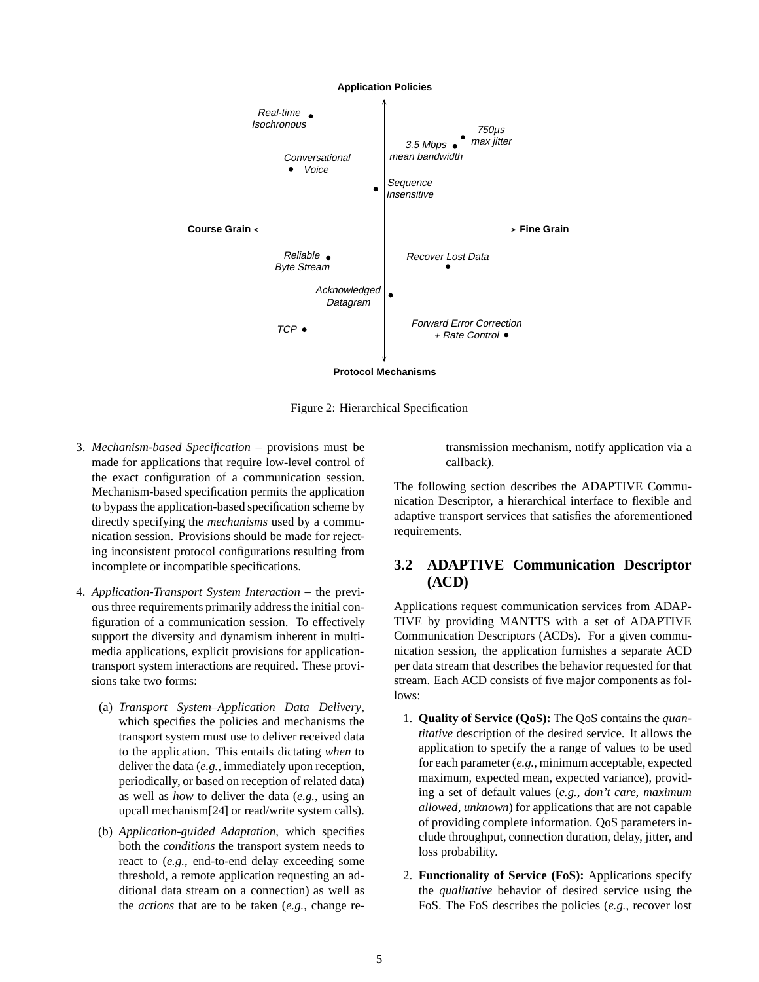

Figure 2: Hierarchical Specification

- 3. *Mechanism-based Specification* provisions must be made for applications that require low-level control of the exact configuration of a communication session. Mechanism-based specification permits the application to bypass the application-based specification scheme by directly specifying the *mechanisms* used by a communication session. Provisions should be made for rejecting inconsistent protocol configurations resulting from incomplete or incompatible specifications.
- 4. *Application-Transport System Interaction* the previous three requirements primarily address the initial configuration of a communication session. To effectively support the diversity and dynamism inherent in multimedia applications, explicit provisions for applicationtransport system interactions are required. These provisions take two forms:
	- (a) *Transport System–Application Data Delivery*, which specifies the policies and mechanisms the transport system must use to deliver received data to the application. This entails dictating *when* to deliver the data (*e.g.*, immediately upon reception, periodically, or based on reception of related data) as well as *how* to deliver the data (*e.g.*, using an upcall mechanism[24] or read/write system calls).
	- (b) *Application-guided Adaptation*, which specifies both the *conditions* the transport system needs to react to (*e.g.*, end-to-end delay exceeding some threshold, a remote application requesting an additional data stream on a connection) as well as the *actions* that are to be taken (*e.g.*, change re-

transmission mechanism, notify application via a callback).

The following section describes the ADAPTIVE Communication Descriptor, a hierarchical interface to flexible and adaptive transport services that satisfies the aforementioned requirements.

#### **3.2 ADAPTIVE Communication Descriptor (ACD)**

Applications request communication services from ADAP-TIVE by providing MANTTS with a set of ADAPTIVE Communication Descriptors (ACDs). For a given communication session, the application furnishes a separate ACD per data stream that describes the behavior requested for that stream. Each ACD consists of five major components as follows:

- 1. **Quality of Service (QoS):** The QoS contains the *quantitative* description of the desired service. It allows the application to specify the a range of values to be used for each parameter (*e.g.*, minimum acceptable, expected maximum, expected mean, expected variance), providing a set of default values (*e.g.*, *don't care, maximum allowed, unknown*) for applications that are not capable of providing complete information. QoS parameters include throughput, connection duration, delay, jitter, and loss probability.
- 2. **Functionality of Service (FoS):** Applications specify the *qualitative* behavior of desired service using the FoS. The FoS describes the policies (*e.g.*, recover lost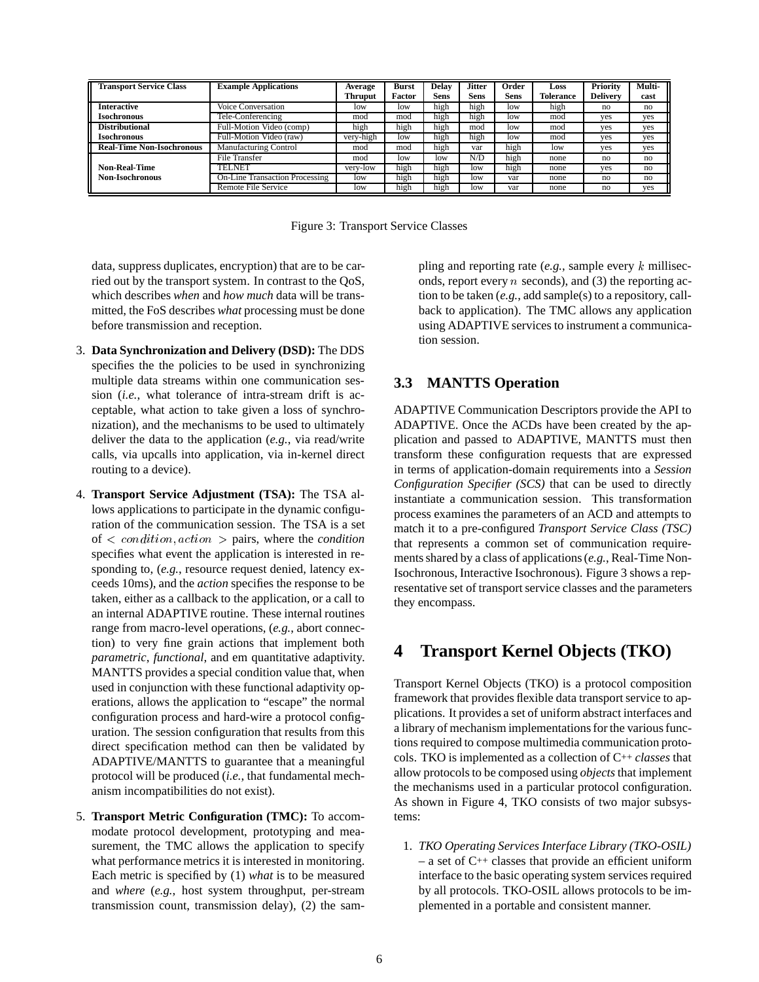| <b>Transport Service Class</b>   | <b>Example Applications</b>    | Average<br><b>Thruput</b> | <b>Burst</b><br>Factor | <b>Delay</b><br>Sens | <b>Jitter</b><br><b>Sens</b> | Order<br><b>Sens</b> | Loss<br><b>Tolerance</b> | <b>Priority</b><br><b>Delivery</b> | Multi-<br>cast |
|----------------------------------|--------------------------------|---------------------------|------------------------|----------------------|------------------------------|----------------------|--------------------------|------------------------------------|----------------|
| <b>Interactive</b>               | Voice Conversation             | low                       | low                    | high                 | high                         | low                  | high                     | no                                 | no             |
| Isochronous                      | <b>Fele-Conferencing</b>       | mod                       | mod                    | high                 | high                         | low                  | mod                      | yes                                | yes            |
| <b>Distributional</b>            | Full-Motion Video (comp)       | high                      | high                   | high                 | mod                          | low                  | mod                      | ves                                | yes            |
| Isochronous                      | Full-Motion Video (raw)        | very-high                 | low                    | high                 | high                         | low                  | mod                      | ves                                | yes            |
| <b>Real-Time Non-Isochronous</b> | <b>Manufacturing Control</b>   | mod                       | mod                    | high                 | var                          | high                 | low                      | ves                                | yes            |
|                                  | <b>File Transfer</b>           | mod                       | low                    | low                  | N/D                          | high                 | none                     | no                                 | no             |
| <b>Non-Real-Time</b>             | TELNET                         | very-low                  | high                   | high                 | low                          | high                 | none                     | ves                                | no             |
| <b>Non-Isochronous</b>           | On-Line Transaction Processing | low                       | high                   | high                 | low                          | var                  | none                     | no                                 | no             |
|                                  | Remote File Service            | low                       | high                   | high                 | low                          | var                  | none                     | no                                 | yes            |

Figure 3: Transport Service Classes

data, suppress duplicates, encryption) that are to be carried out by the transport system. In contrast to the QoS, which describes *when* and *how much* data will be transmitted, the FoS describes *what* processing must be done before transmission and reception.

- 3. **Data Synchronization and Delivery (DSD):** The DDS specifies the the policies to be used in synchronizing multiple data streams within one communication session (*i.e.*, what tolerance of intra-stream drift is acceptable, what action to take given a loss of synchronization), and the mechanisms to be used to ultimately deliver the data to the application (*e.g.*, via read/write calls, via upcalls into application, via in-kernel direct routing to a device).
- 4. **Transport Service Adjustment (TSA):** The TSA allows applications to participate in the dynamic configuration of the communication session. The TSA is a set of <sup>&</sup>lt; condition; action <sup>&</sup>gt; pairs, where the *condition* specifies what event the application is interested in responding to, (*e.g.*, resource request denied, latency exceeds 10ms), and the *action* specifies the response to be taken, either as a callback to the application, or a call to an internal ADAPTIVE routine. These internal routines range from macro-level operations, (*e.g.*, abort connection) to very fine grain actions that implement both *parametric*, *functional*, and em quantitative adaptivity. MANTTS provides a special condition value that, when used in conjunction with these functional adaptivity operations, allows the application to "escape" the normal configuration process and hard-wire a protocol configuration. The session configuration that results from this direct specification method can then be validated by ADAPTIVE/MANTTS to guarantee that a meaningful protocol will be produced (*i.e.*, that fundamental mechanism incompatibilities do not exist).
- 5. **Transport Metric Configuration (TMC):** To accommodate protocol development, prototyping and measurement, the TMC allows the application to specify what performance metrics it is interested in monitoring. Each metric is specified by (1) *what* is to be measured and *where* (*e.g.*, host system throughput, per-stream transmission count, transmission delay), (2) the sam-

pling and reporting rate (*e.g.*, sample every <sup>k</sup> milliseconds, report every  $n$  seconds), and (3) the reporting action to be taken (*e.g.*, add sample(s) to a repository, callback to application). The TMC allows any application using ADAPTIVE services to instrument a communication session.

#### **3.3 MANTTS Operation**

ADAPTIVE Communication Descriptors provide the API to ADAPTIVE. Once the ACDs have been created by the application and passed to ADAPTIVE, MANTTS must then transform these configuration requests that are expressed in terms of application-domain requirements into a *Session Configuration Specifier (SCS)* that can be used to directly instantiate a communication session. This transformation process examines the parameters of an ACD and attempts to match it to a pre-configured *Transport Service Class (TSC)* that represents a common set of communication requirements shared by a class of applications (*e.g.*, Real-Time Non-Isochronous, Interactive Isochronous). Figure 3 shows a representative set of transport service classes and the parameters they encompass.

## **4 Transport Kernel Objects (TKO)**

Transport Kernel Objects (TKO) is a protocol composition framework that provides flexible data transport service to applications. It provides a set of uniform abstract interfaces and a library of mechanism implementations for the various functions required to compose multimedia communication protocols. TKO is implemented as a collection of C++ *classes* that allow protocols to be composed using *objects*that implement the mechanisms used in a particular protocol configuration. As shown in Figure 4, TKO consists of two major subsystems:

1. *TKO Operating Services Interface Library (TKO-OSIL)*  $-$  a set of C<sup>++</sup> classes that provide an efficient uniform interface to the basic operating system services required by all protocols. TKO-OSIL allows protocols to be implemented in a portable and consistent manner.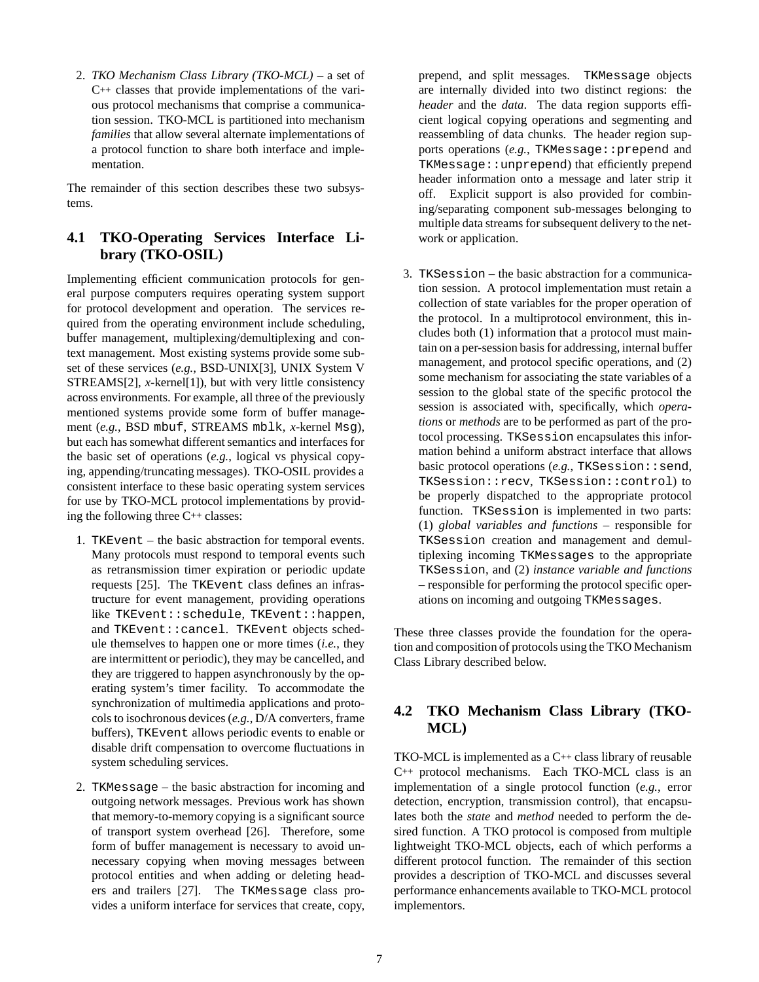2. *TKO Mechanism Class Library (TKO-MCL)* – a set of C++ classes that provide implementations of the various protocol mechanisms that comprise a communication session. TKO-MCL is partitioned into mechanism *families* that allow several alternate implementations of a protocol function to share both interface and implementation.

The remainder of this section describes these two subsystems.

### **4.1 TKO-Operating Services Interface Library (TKO-OSIL)**

Implementing efficient communication protocols for general purpose computers requires operating system support for protocol development and operation. The services required from the operating environment include scheduling, buffer management, multiplexing/demultiplexing and context management. Most existing systems provide some subset of these services (*e.g.*, BSD-UNIX[3], UNIX System V STREAMS[2], *x*-kernel[1]), but with very little consistency across environments. For example, all three of the previously mentioned systems provide some form of buffer management (*e.g.*, BSD mbuf, STREAMS mblk, *x*-kernel Msg), but each has somewhat different semantics and interfaces for the basic set of operations (*e.g.*, logical vs physical copying, appending/truncating messages). TKO-OSIL provides a consistent interface to these basic operating system services for use by TKO-MCL protocol implementations by providing the following three C++ classes:

- 1. TKEvent the basic abstraction for temporal events. Many protocols must respond to temporal events such as retransmission timer expiration or periodic update requests [25]. The TKEvent class defines an infrastructure for event management, providing operations like TKEvent::schedule, TKEvent::happen, and TKEvent::cancel. TKEvent objects schedule themselves to happen one or more times (*i.e.*, they are intermittent or periodic), they may be cancelled, and they are triggered to happen asynchronously by the operating system's timer facility. To accommodate the synchronization of multimedia applications and protocols to isochronous devices (*e.g.*, D/A converters, frame buffers), TKEvent allows periodic events to enable or disable drift compensation to overcome fluctuations in system scheduling services.
- 2. TKMessage the basic abstraction for incoming and outgoing network messages. Previous work has shown that memory-to-memory copying is a significant source of transport system overhead [26]. Therefore, some form of buffer management is necessary to avoid unnecessary copying when moving messages between protocol entities and when adding or deleting headers and trailers [27]. The TKMessage class provides a uniform interface for services that create, copy,

prepend, and split messages. TKMessage objects are internally divided into two distinct regions: the *header* and the *data*. The data region supports efficient logical copying operations and segmenting and reassembling of data chunks. The header region supports operations (e.g., TKMessage::prepend and TKMessage::unprepend) that efficiently prepend header information onto a message and later strip it off. Explicit support is also provided for combining/separating component sub-messages belonging to multiple data streams for subsequent delivery to the network or application.

3. TKSession – the basic abstraction for a communication session. A protocol implementation must retain a collection of state variables for the proper operation of the protocol. In a multiprotocol environment, this includes both (1) information that a protocol must maintain on a per-session basis for addressing, internal buffer management, and protocol specific operations, and (2) some mechanism for associating the state variables of a session to the global state of the specific protocol the session is associated with, specifically, which *operations* or *methods* are to be performed as part of the protocol processing. TKSession encapsulates this information behind a uniform abstract interface that allows basic protocol operations (*e.g.*, TKSession: : send, TKSession::recv, TKSession::control) to be properly dispatched to the appropriate protocol function. TKSession is implemented in two parts: (1) *global variables and functions* – responsible for TKSession creation and management and demultiplexing incoming TKMessages to the appropriate TKSession, and (2) *instance variable and functions* – responsible for performing the protocol specific operations on incoming and outgoing TKMessages.

These three classes provide the foundation for the operation and composition of protocols using the TKO Mechanism Class Library described below.

#### **4.2 TKO Mechanism Class Library (TKO-MCL)**

TKO-MCL is implemented as a C++ class library of reusable C++ protocol mechanisms. Each TKO-MCL class is an implementation of a single protocol function (*e.g.*, error detection, encryption, transmission control), that encapsulates both the *state* and *method* needed to perform the desired function. A TKO protocol is composed from multiple lightweight TKO-MCL objects, each of which performs a different protocol function. The remainder of this section provides a description of TKO-MCL and discusses several performance enhancements available to TKO-MCL protocol implementors.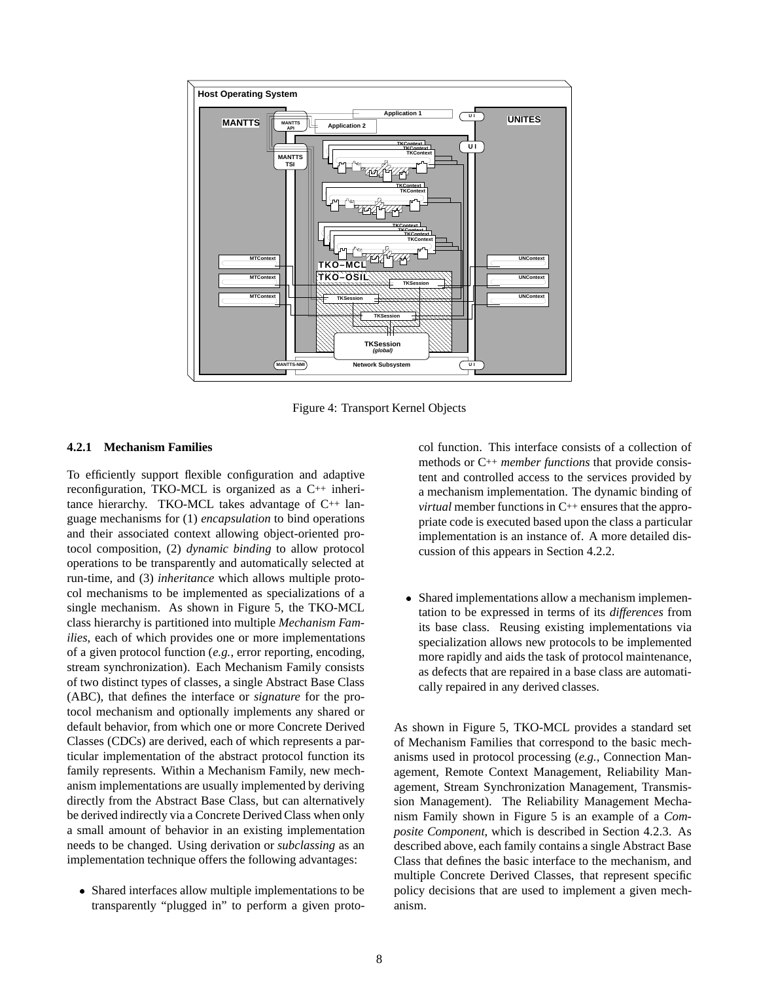

Figure 4: Transport Kernel Objects

#### **4.2.1 Mechanism Families**

To efficiently support flexible configuration and adaptive reconfiguration, TKO-MCL is organized as a C++ inheritance hierarchy. TKO-MCL takes advantage of C++ language mechanisms for (1) *encapsulation* to bind operations and their associated context allowing object-oriented protocol composition, (2) *dynamic binding* to allow protocol operations to be transparently and automatically selected at run-time, and (3) *inheritance* which allows multiple protocol mechanisms to be implemented as specializations of a single mechanism. As shown in Figure 5, the TKO-MCL class hierarchy is partitioned into multiple *Mechanism Families*, each of which provides one or more implementations of a given protocol function (*e.g.*, error reporting, encoding, stream synchronization). Each Mechanism Family consists of two distinct types of classes, a single Abstract Base Class (ABC), that defines the interface or *signature* for the protocol mechanism and optionally implements any shared or default behavior, from which one or more Concrete Derived Classes (CDCs) are derived, each of which represents a particular implementation of the abstract protocol function its family represents. Within a Mechanism Family, new mechanism implementations are usually implemented by deriving directly from the Abstract Base Class, but can alternatively be derived indirectly via a Concrete Derived Class when only a small amount of behavior in an existing implementation needs to be changed. Using derivation or *subclassing* as an implementation technique offers the following advantages:

 Shared interfaces allow multiple implementations to be transparently "plugged in" to perform a given protocol function. This interface consists of a collection of methods or C++ *member functions* that provide consistent and controlled access to the services provided by a mechanism implementation. The dynamic binding of *virtual* member functions in C++ ensures that the appropriate code is executed based upon the class a particular implementation is an instance of. A more detailed discussion of this appears in Section 4.2.2.

 Shared implementations allow a mechanism implementation to be expressed in terms of its *differences* from its base class. Reusing existing implementations via specialization allows new protocols to be implemented more rapidly and aids the task of protocol maintenance, as defects that are repaired in a base class are automatically repaired in any derived classes.

As shown in Figure 5, TKO-MCL provides a standard set of Mechanism Families that correspond to the basic mechanisms used in protocol processing (*e.g.*, Connection Management, Remote Context Management, Reliability Management, Stream Synchronization Management, Transmission Management). The Reliability Management Mechanism Family shown in Figure 5 is an example of a *Composite Component*, which is described in Section 4.2.3. As described above, each family contains a single Abstract Base Class that defines the basic interface to the mechanism, and multiple Concrete Derived Classes, that represent specific policy decisions that are used to implement a given mechanism.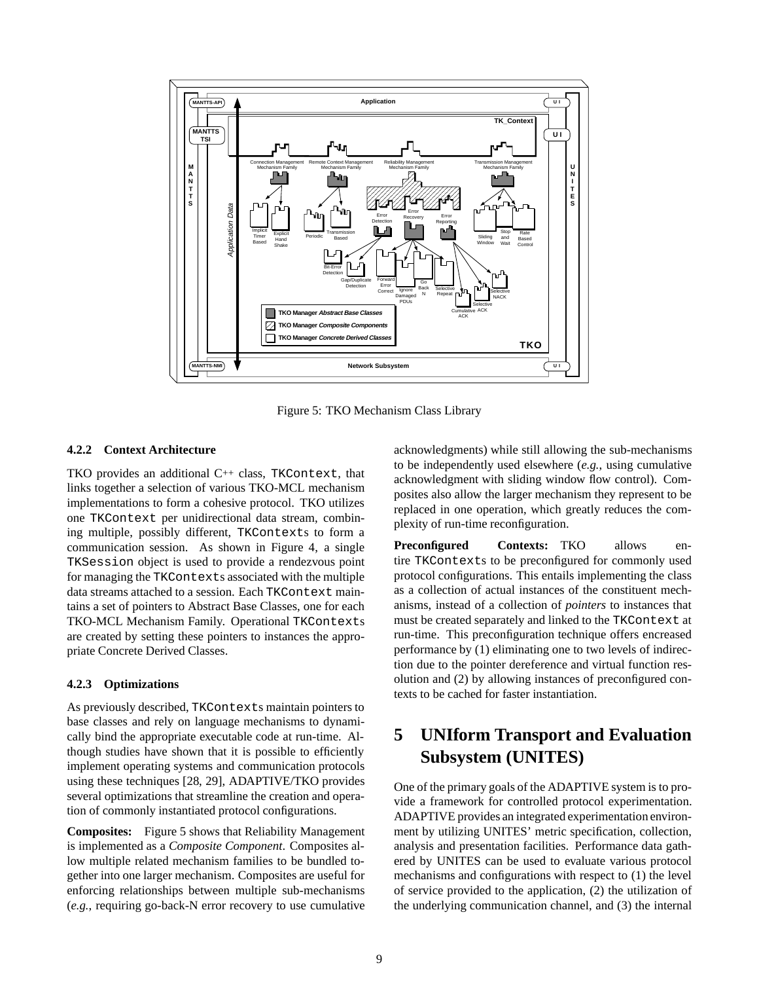

Figure 5: TKO Mechanism Class Library

#### **4.2.2 Context Architecture**

TKO provides an additional C++ class, TKContext, that links together a selection of various TKO-MCL mechanism implementations to form a cohesive protocol. TKO utilizes one TKContext per unidirectional data stream, combining multiple, possibly different, TKContexts to form a communication session. As shown in Figure 4, a single TKSession object is used to provide a rendezvous point for managing the TKContexts associated with the multiple data streams attached to a session. Each TKContext maintains a set of pointers to Abstract Base Classes, one for each TKO-MCL Mechanism Family. Operational TKContexts are created by setting these pointers to instances the appropriate Concrete Derived Classes.

#### **4.2.3 Optimizations**

As previously described, TKContexts maintain pointers to base classes and rely on language mechanisms to dynamically bind the appropriate executable code at run-time. Although studies have shown that it is possible to efficiently implement operating systems and communication protocols using these techniques [28, 29], ADAPTIVE/TKO provides several optimizations that streamline the creation and operation of commonly instantiated protocol configurations.

**Composites:** Figure 5 shows that Reliability Management is implemented as a *Composite Component*. Composites allow multiple related mechanism families to be bundled together into one larger mechanism. Composites are useful for enforcing relationships between multiple sub-mechanisms (*e.g.*, requiring go-back-N error recovery to use cumulative acknowledgments) while still allowing the sub-mechanisms to be independently used elsewhere (*e.g.*, using cumulative acknowledgment with sliding window flow control). Composites also allow the larger mechanism they represent to be replaced in one operation, which greatly reduces the complexity of run-time reconfiguration.

**Preconfigured Contexts:** TKO allows entire TKContexts to be preconfigured for commonly used protocol configurations. This entails implementing the class as a collection of actual instances of the constituent mechanisms, instead of a collection of *pointers* to instances that must be created separately and linked to the TKContext at run-time. This preconfiguration technique offers encreased performance by (1) eliminating one to two levels of indirection due to the pointer dereference and virtual function resolution and (2) by allowing instances of preconfigured contexts to be cached for faster instantiation.

# **5 UNIform Transport and Evaluation Subsystem (UNITES)**

One of the primary goals of the ADAPTIVE system is to provide a framework for controlled protocol experimentation. ADAPTIVE provides an integrated experimentation environment by utilizing UNITES' metric specification, collection, analysis and presentation facilities. Performance data gathered by UNITES can be used to evaluate various protocol mechanisms and configurations with respect to (1) the level of service provided to the application, (2) the utilization of the underlying communication channel, and (3) the internal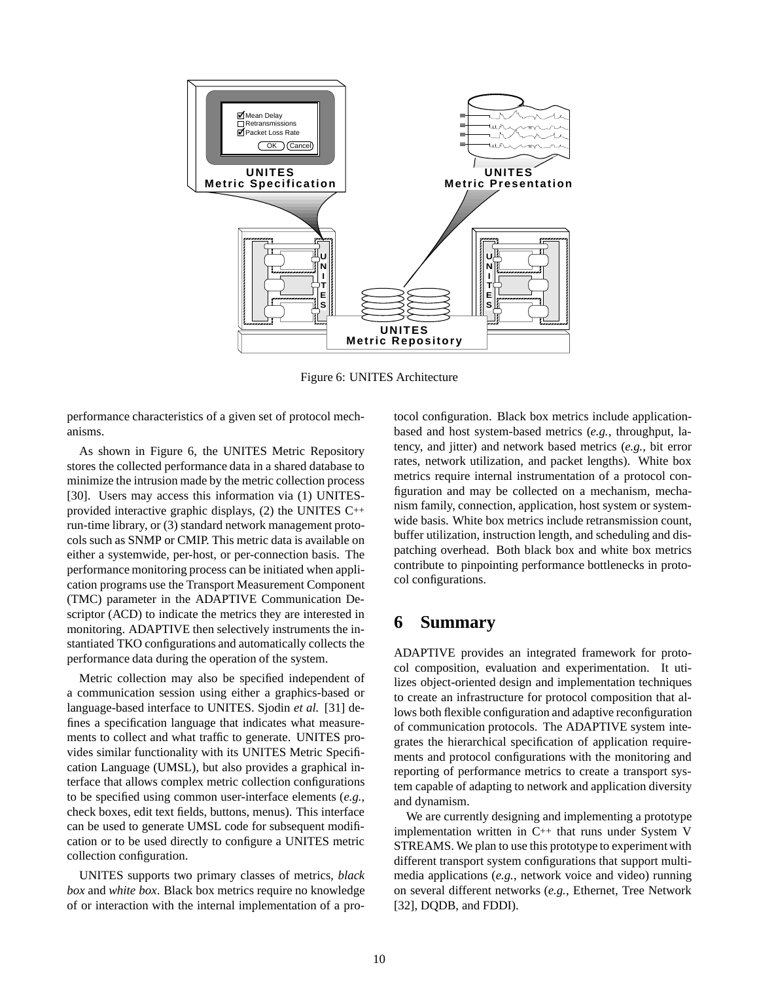

Figure 6: UNITES Architecture

performance characteristics of a given set of protocol mechanisms.

As shown in Figure 6, the UNITES Metric Repository stores the collected performance data in a shared database to minimize the intrusion made by the metric collection process [30]. Users may access this information via (1) UNITESprovided interactive graphic displays, (2) the UNITES C++ run-time library, or (3) standard network management protocols such as SNMP or CMIP. This metric data is available on either a systemwide, per-host, or per-connection basis. The performance monitoring process can be initiated when application programs use the Transport Measurement Component (TMC) parameter in the ADAPTIVE Communication Descriptor (ACD) to indicate the metrics they are interested in monitoring. ADAPTIVE then selectively instruments the instantiated TKO configurations and automatically collects the performance data during the operation of the system.

Metric collection may also be specified independent of a communication session using either a graphics-based or language-based interface to UNITES. Sjodin *et al.* [31] defines a specification language that indicates what measurements to collect and what traffic to generate. UNITES provides similar functionality with its UNITES Metric Specification Language (UMSL), but also provides a graphical interface that allows complex metric collection configurations to be specified using common user-interface elements (*e.g.*, check boxes, edit text fields, buttons, menus). This interface can be used to generate UMSL code for subsequent modification or to be used directly to configure a UNITES metric collection configuration.

UNITES supports two primary classes of metrics, *black box* and *white box*. Black box metrics require no knowledge of or interaction with the internal implementation of a protocol configuration. Black box metrics include applicationbased and host system-based metrics (*e.g.*, throughput, latency, and jitter) and network based metrics (*e.g.*, bit error rates, network utilization, and packet lengths). White box metrics require internal instrumentation of a protocol configuration and may be collected on a mechanism, mechanism family, connection, application, host system or systemwide basis. White box metrics include retransmission count, buffer utilization, instruction length, and scheduling and dispatching overhead. Both black box and white box metrics contribute to pinpointing performance bottlenecks in protocol configurations.

### **6 Summary**

ADAPTIVE provides an integrated framework for protocol composition, evaluation and experimentation. It utilizes object-oriented design and implementation techniques to create an infrastructure for protocol composition that allows both flexible configuration and adaptive reconfiguration of communication protocols. The ADAPTIVE system integrates the hierarchical specification of application requirements and protocol configurations with the monitoring and reporting of performance metrics to create a transport system capable of adapting to network and application diversity and dynamism.

We are currently designing and implementing a prototype implementation written in  $C^{++}$  that runs under System V STREAMS. We plan to use this prototype to experiment with different transport system configurations that support multimedia applications (*e.g.*, network voice and video) running on several different networks (*e.g.*, Ethernet, Tree Network [32], DQDB, and FDDI).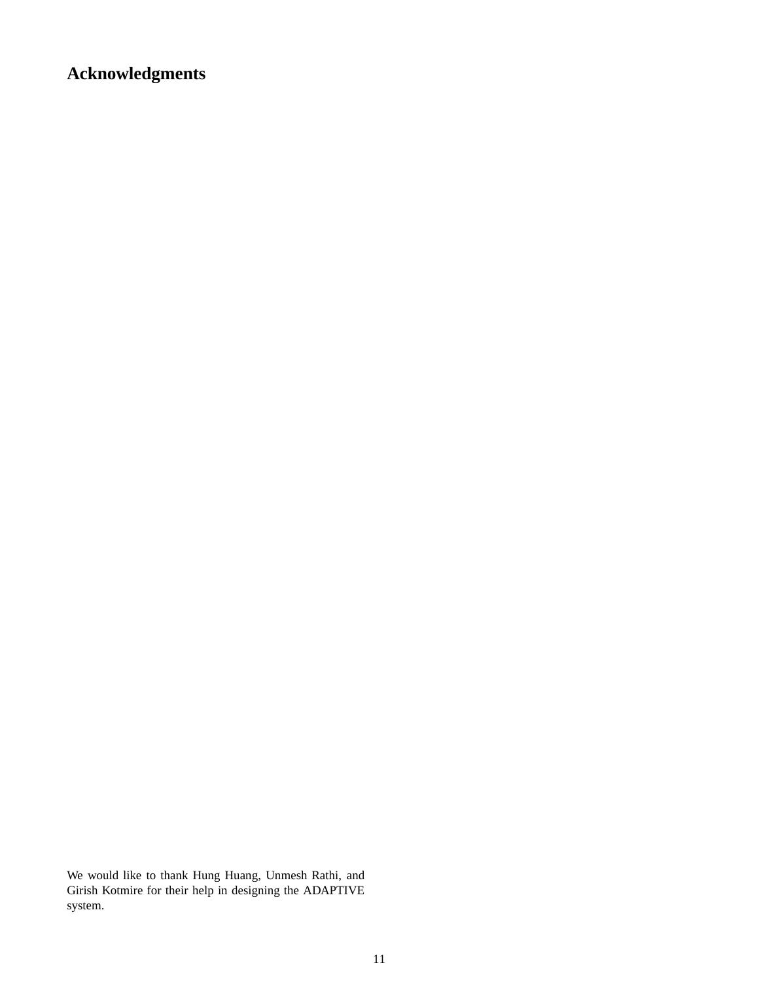**Acknowledgments**

We would like to thank Hung Huang, Unmesh Rathi, and Girish Kotmire for their help in designing the ADAPTIVE system.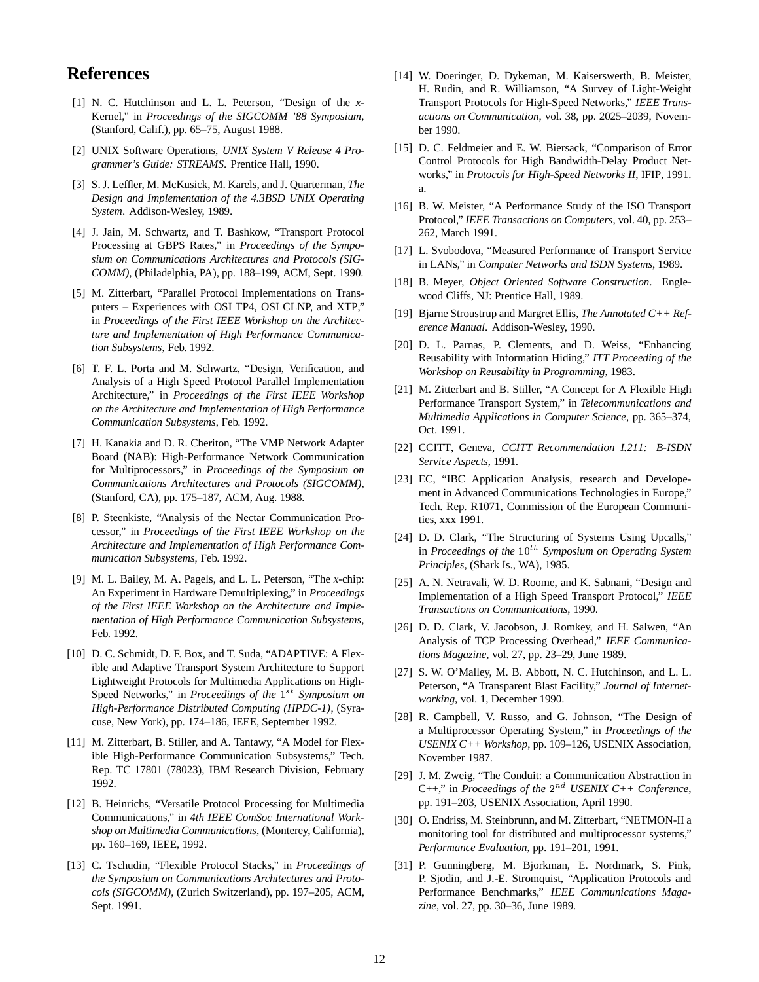### **References**

- [1] N. C. Hutchinson and L. L. Peterson, "Design of the *x*-Kernel," in *Proceedings of the SIGCOMM '88 Symposium*, (Stanford, Calif.), pp. 65–75, August 1988.
- [2] UNIX Software Operations, *UNIX System V Release 4 Programmer's Guide: STREAMS*. Prentice Hall, 1990.
- [3] S. J. Leffler, M. McKusick, M. Karels, and J. Quarterman, *The Design and Implementation of the 4.3BSD UNIX Operating System*. Addison-Wesley, 1989.
- [4] J. Jain, M. Schwartz, and T. Bashkow, "Transport Protocol Processing at GBPS Rates," in *Proceedings of the Symposium on Communications Architectures and Protocols (SIG-COMM)*, (Philadelphia, PA), pp. 188–199, ACM, Sept. 1990.
- [5] M. Zitterbart, "Parallel Protocol Implementations on Transputers – Experiences with OSI TP4, OSI CLNP, and XTP," in *Proceedings of the First IEEE Workshop on the Architecture and Implementation of High Performance Communication Subsystems*, Feb. 1992.
- [6] T. F. L. Porta and M. Schwartz, "Design, Verification, and Analysis of a High Speed Protocol Parallel Implementation Architecture," in *Proceedings of the First IEEE Workshop on the Architecture and Implementation of High Performance Communication Subsystems*, Feb. 1992.
- [7] H. Kanakia and D. R. Cheriton, "The VMP Network Adapter Board (NAB): High-Performance Network Communication for Multiprocessors," in *Proceedings of the Symposium on Communications Architectures and Protocols (SIGCOMM)*, (Stanford, CA), pp. 175–187, ACM, Aug. 1988.
- [8] P. Steenkiste, "Analysis of the Nectar Communication Processor," in *Proceedings of the First IEEE Workshop on the Architecture and Implementation of High Performance Communication Subsystems*, Feb. 1992.
- [9] M. L. Bailey, M. A. Pagels, and L. L. Peterson, "The *x*-chip: An Experiment in Hardware Demultiplexing," in *Proceedings of the First IEEE Workshop on the Architecture and Implementation of High Performance Communication Subsystems*, Feb. 1992.
- [10] D. C. Schmidt, D. F. Box, and T. Suda, "ADAPTIVE: A Flexible and Adaptive Transport System Architecture to Support Lightweight Protocols for Multimedia Applications on High-Speed Networks," in *Proceedings of the*  $1^{st}$  *Symposium on High-Performance Distributed Computing (HPDC-1)*, (Syracuse, New York), pp. 174–186, IEEE, September 1992.
- [11] M. Zitterbart, B. Stiller, and A. Tantawy, "A Model for Flexible High-Performance Communication Subsystems," Tech. Rep. TC 17801 (78023), IBM Research Division, February 1992.
- [12] B. Heinrichs, "Versatile Protocol Processing for Multimedia Communications," in *4th IEEE ComSoc International Workshop on Multimedia Communications*, (Monterey, California), pp. 160–169, IEEE, 1992.
- [13] C. Tschudin, "Flexible Protocol Stacks," in *Proceedings of the Symposium on Communications Architectures and Protocols (SIGCOMM)*, (Zurich Switzerland), pp. 197–205, ACM, Sept. 1991.
- [14] W. Doeringer, D. Dykeman, M. Kaiserswerth, B. Meister, H. Rudin, and R. Williamson, "A Survey of Light-Weight Transport Protocols for High-Speed Networks," *IEEE Transactions on Communication*, vol. 38, pp. 2025–2039, November 1990.
- [15] D. C. Feldmeier and E. W. Biersack, "Comparison of Error Control Protocols for High Bandwidth-Delay Product Networks," in *Protocols for High-Speed Networks II*, IFIP, 1991. a.
- [16] B. W. Meister, "A Performance Study of the ISO Transport Protocol," *IEEE Transactions on Computers*, vol. 40, pp. 253– 262, March 1991.
- [17] L. Svobodova, "Measured Performance of Transport Service in LANs," in *Computer Networks and ISDN Systems*, 1989.
- [18] B. Meyer, *Object Oriented Software Construction*. Englewood Cliffs, NJ: Prentice Hall, 1989.
- [19] Bjarne Stroustrup and Margret Ellis, *The Annotated C++ Reference Manual*. Addison-Wesley, 1990.
- [20] D. L. Parnas, P. Clements, and D. Weiss, "Enhancing Reusability with Information Hiding," *ITT Proceeding of the Workshop on Reusability in Programming*, 1983.
- [21] M. Zitterbart and B. Stiller, "A Concept for A Flexible High Performance Transport System," in *Telecommunications and Multimedia Applications in Computer Science*, pp. 365–374, Oct. 1991.
- [22] CCITT, Geneva, *CCITT Recommendation I.211: B-ISDN Service Aspects*, 1991.
- [23] EC, "IBC Application Analysis, research and Developement in Advanced Communications Technologies in Europe," Tech. Rep. R1071, Commission of the European Communities, xxx 1991.
- [24] D. D. Clark, "The Structuring of Systems Using Upcalls," in *Proceedings of the*  $10^{th}$  *Symposium on Operating System Principles*, (Shark Is., WA), 1985.
- [25] A. N. Netravali, W. D. Roome, and K. Sabnani, "Design and Implementation of a High Speed Transport Protocol," *IEEE Transactions on Communications*, 1990.
- [26] D. D. Clark, V. Jacobson, J. Romkey, and H. Salwen, "An Analysis of TCP Processing Overhead," *IEEE Communications Magazine*, vol. 27, pp. 23–29, June 1989.
- [27] S. W. O'Malley, M. B. Abbott, N. C. Hutchinson, and L. L. Peterson, "A Transparent Blast Facility," *Journal of Internetworking*, vol. 1, December 1990.
- [28] R. Campbell, V. Russo, and G. Johnson, "The Design of a Multiprocessor Operating System," in *Proceedings of the USENIX C++ Workshop*, pp. 109–126, USENIX Association, November 1987.
- [29] J. M. Zweig, "The Conduit: a Communication Abstraction in  $C_{++}$ ," in *Proceedings of the*  $2^{nd}$  *USENIX C++ Conference*, pp. 191–203, USENIX Association, April 1990.
- [30] O. Endriss, M. Steinbrunn, and M. Zitterbart, "NETMON-II a monitoring tool for distributed and multiprocessor systems," *Performance Evaluation*, pp. 191–201, 1991.
- [31] P. Gunningberg, M. Bjorkman, E. Nordmark, S. Pink, P. Sjodin, and J.-E. Stromquist, "Application Protocols and Performance Benchmarks," *IEEE Communications Magazine*, vol. 27, pp. 30–36, June 1989.